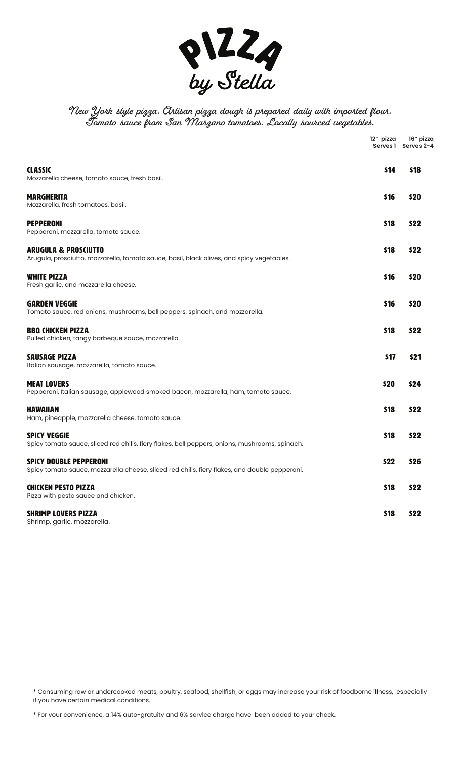

# **New York style pizza. Artisan pizza dough is prepared daily with imported flour. Tomato sauce from San Marzano tomatoes. Locally sourced vegetables.**

|                                                                                                                                | 12" pizza<br>Serves 1 | 16" pizza<br>Serves 2-4 |
|--------------------------------------------------------------------------------------------------------------------------------|-----------------------|-------------------------|
| <b>CLASSIC</b><br>Mozzarella cheese, tomato sauce, fresh basil.                                                                | \$14                  | <b>S18</b>              |
| <b>MARGHERITA</b><br>Mozzarella, fresh tomatoes, basil.                                                                        | \$16                  | \$20                    |
| <b>PEPPERONI</b><br>Pepperoni, mozzarella, tomato sauce.                                                                       | \$18                  | \$22                    |
| <b>ARUGULA &amp; PROSCIUTTO</b><br>Arugula, prosciutto, mozzarella, tomato sauce, basil, black olives, and spicy vegetables.   | \$18                  | \$22                    |
| <b>WHITE PIZZA</b><br>Fresh garlic, and mozzarella cheese.                                                                     | \$16                  | \$20                    |
| <b>GARDEN VEGGIE</b><br>Tomato sauce, red onions, mushrooms, bell peppers, spinach, and mozzarella.                            | \$16                  | \$20                    |
| <b>BBQ CHICKEN PIZZA</b><br>Pulled chicken, tangy barbeque sauce, mozzarella.                                                  | \$18                  | \$22                    |
| <b>SAUSAGE PIZZA</b><br>Italian sausage, mozzarella, tomato sauce.                                                             | \$17                  | \$21                    |
| <b>MEAT LOVERS</b><br>Pepperoni, Italian sausage, applewood smoked bacon, mozzarella, ham, tomato sauce.                       | \$20                  | \$24                    |
| <b>HAWAIIAN</b><br>Ham, pineapple, mozzarella cheese, tomato sauce.                                                            | \$18                  | \$22                    |
| <b>SPICY VEGGIE</b><br>Spicy tomato sauce, sliced red chilis, fiery flakes, bell peppers, onions, mushrooms, spinach.          | \$18                  | \$22                    |
| <b>SPICY DOUBLE PEPPERONI</b><br>Spicy tomato sauce, mozzarella cheese, sliced red chilis, fiery flakes, and double pepperoni. | \$22                  | \$26                    |
| <b>CHICKEN PESTO PIZZA</b><br>Pizza with pesto sauce and chicken.                                                              | 518                   | \$22                    |
| <b>SHRIMP LOVERS PIZZA</b><br>Shrimp, garlic, mozzarella.                                                                      | \$18                  | \$22                    |

\* Consuming raw or undercooked meats, poultry, seafood, shellfish, or eggs may increase your risk of foodborne illness, especially if you have certain medical conditions.

\* For your convenience, a 14% auto-gratuity and 6% service charge have been added to your check.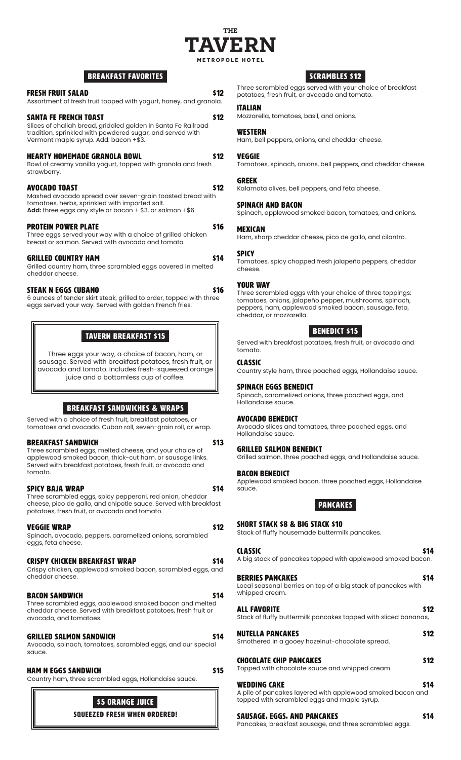

# BREAKFAST FAVORITES

#### FRESH FRUIT SALAD \$12

#### Assortment of fresh fruit topped with yogurt, honey, and granola.

# SANTA FE FRENCH TOAST **\$12** Slices of challah bread, griddled golden in Santa Fe Railroad

tradition, sprinkled with powdered sugar, and served with Vermont maple syrup. Add: bacon +\$3.

# HEARTY HOMEMADE GRANOLA BOWL \$12

Bowl of creamy vanilla yogurt, topped with granola and fresh strawberry.

#### Avocado Toast \$12

Mashed avocado spread over seven-grain toasted bread with tomatoes, herbs, sprinkled with imported salt. Add: three eggs any style or bacon + \$3, or salmon +\$6.

#### PROTEIN POWER PLATE NEWSLESS AND STRUCKLESS AND STRUCKLESS AND STRUCKLESS AND STRUCKLESS AND STRUCKLESS AND STRUCKLESS AND STRUCKLESS AND STRUCKLESS AND STRUCKLESS AND STRUCKLESS AND STRUCKLESS AND STRUCKLESS AND STRUCKLES

Three eggs served your way with a choice of grilled chicken breast or salmon. Served with avocado and tomato.

#### GRILLED COUNTRY HAM \$14

Grilled country ham, three scrambled eggs covered in melted cheddar cheese.

#### STEAK N EGGS CUBANO \$16

6 ounces of tender skirt steak, grilled to order, topped with three eggs served your way. Served with golden French fries.

# TAVERN Breakfast \$15

Three eggs your way, a choice of bacon, ham, or sausage. Served with breakfast potatoes, fresh fruit, or avocado and tomato. Includes fresh-squeezed orange juice and a bottomless cup of coffee.

# BREAKFAST SANDWICHES & WRAPS

Served with a choice of fresh fruit, breakfast potatoes, or tomatoes and avocado. Cuban roll, seven-grain roll, or wrap.

#### BREAKFAST SANDWICH \$13

Three scrambled eggs, melted cheese, and your choice of applewood smoked bacon, thick-cut ham, or sausage links. Served with breakfast potatoes, fresh fruit, or avocado and tomato.

#### SPICY BAJA WRAP \$14

Three scrambled eggs, spicy pepperoni, red onion, cheddar cheese, pico de gallo, and chipotle sauce. Served with breakfast potatoes, fresh fruit, or avocado and tomato.

#### VEGGIE WRAP **\$12**

Spinach, avocado, peppers, caramelized onions, scrambled eggs, feta cheese.

#### CRISPY CHICKEN BREAKFAST WRAP \$14

Crispy chicken, applewood smoked bacon, scrambled eggs, and cheddar cheese.

#### BACON SANDWICH \$14

Three scrambled eggs, applewood smoked bacon and melted cheddar cheese. Served with breakfast potatoes, fresh fruit or avocado, and tomatoes.

#### GRILLED SALMON SANDWICH **\$14**

Avocado, spinach, tomatoes, scrambled eggs, and our special sauce.

#### HAM N EGGS SANDWICH  $\sim$  515

Country ham, three scrambled eggs, Hollandaise sauce.



# SCRAMBLES \$12

Three scrambled eggs served with your choice of breakfast potatoes, fresh fruit, or avocado and tomato.

#### ITALIAN

Mozzarella, tomatoes, basil, and onions.

#### **WESTERN**

Ham, bell peppers, onions, and cheddar cheese.

#### VEGGIE

Tomatoes, spinach, onions, bell peppers, and cheddar cheese.

#### GREEK

Kalamata olives, bell peppers, and feta cheese.

#### SPINACH AND BACON

Spinach, applewood smoked bacon, tomatoes, and onions.

#### MEXICAN

Ham, sharp cheddar cheese, pico de gallo, and cilantro.

#### SPICY

Tomatoes, spicy chopped fresh jalapeño peppers, cheddar cheese.

#### YOUR WAY

Three scrambled eggs with your choice of three toppings: tomatoes, onions, jalapeño pepper, mushrooms, spinach, peppers, ham, applewood smoked bacon, sausage, feta, cheddar, or mozzarella.

# Benedict \$15

Served with breakfast potatoes, fresh fruit, or avocado and tomato.

#### CLASSIC

Country style ham, three poached eggs, Hollandaise sauce.

#### SPINACH EGGS BENEDICT

Spinach, caramelized onions, three poached eggs, and Hollandaise sauce.

#### Avocado BENEDICT

Avocado slices and tomatoes, three poached eggs, and Hollandaise sauce.

#### Grilled Salmon Benedict

Grilled salmon, three poached eggs, and Hollandaise sauce.

#### BACON Benedict

Applewood smoked bacon, three poached eggs, Hollandaise sauce.

# Pancakes

SHORT STACK \$8 & BIG STACK \$10

Stack of fluffy housemade buttermilk pancakes.

#### CLASSIC 514 A big stack of pancakes topped with applewood smoked bacon.

| <b>BERRIES PANCAKES</b><br>Local seasonal berries on top of a big stack of pancakes with<br>whipped cream. | 514  |
|------------------------------------------------------------------------------------------------------------|------|
| ALL FAVORITE<br>Stack of fluffy buttermilk pancakes topped with sliced bananas,                            | \$12 |
| <b>NUTELLA PANCAKES</b><br>Smothered in a gooey hazelnut-chocolate spread.                                 | \$12 |

| critection can in a globol indication critecture opiqual |  |
|----------------------------------------------------------|--|
| <b>CHOCOLATE CHIP PANCAKES</b>                           |  |

Topped with chocolate sauce and whipped cream.

| <b>WEDDING CAKE</b>                                        | <b>S14</b> |
|------------------------------------------------------------|------------|
| A pile of pancakes layered with applewood smoked bacon and |            |
| topped with scrambled eggs and maple syrup.                |            |

#### SAUSAGE, EGGS, AND PANCAKES \$14

Pancakes, breakfast sausage, and three scrambled eggs.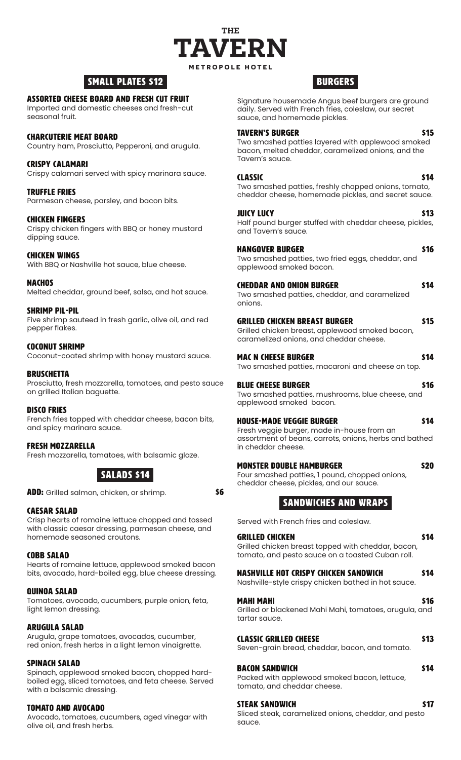

# SMALL PLATES \$12

# ASSORTED CHEESE board and Fresh Cut Fruit

Imported and domestic cheeses and fresh-cut seasonal fruit.

# Charcuterie Meat Board

Country ham, Prosciutto, Pepperoni, and arugula.

# CRISPY CALAMARI

Crispy calamari served with spicy marinara sauce.

# Truffle Fries

Parmesan cheese, parsley, and bacon bits.

# CHICKEN FINGERS

Crispy chicken fingers with BBQ or honey mustard dipping sauce.

# CHICKEN WINGS

With BBQ or Nashville hot sauce, blue cheese.

#### NACHOS

Melted cheddar, ground beef, salsa, and hot sauce.

# SHRIMP PIL-PIL

Five shrimp sauteed in fresh garlic, olive oil, and red pepper flakes.

# COCONUT SHRIMP

Coconut-coated shrimp with honey mustard sauce.

# **BRUSCHETTA**

Prosciutto, fresh mozzarella, tomatoes, and pesto sauce on grilled Italian baguette.

# DISCO FRIES

French fries topped with cheddar cheese, bacon bits, and spicy marinara sauce.

# FRESH MOZZARELLA

Fresh mozzarella, tomatoes, with balsamic glaze.

# SALADS \$14

**ADD:** Grilled salmon, chicken, or shrimp. **\$6** 

# CAESAR SALAD

Crisp hearts of romaine lettuce chopped and tossed with classic caesar dressing, parmesan cheese, and homemade seasoned croutons.

# COBB SALAD

Hearts of romaine lettuce, applewood smoked bacon bits, avocado, hard-boiled egg, blue cheese dressing.

# QUINOA SALAD

Tomatoes, avocado, cucumbers, purple onion, feta, light lemon dressing.

# ARUGULA SALAD

Arugula, grape tomatoes, avocados, cucumber, red onion, fresh herbs in a light lemon vinaigrette.

# SPINACH SALAD

Spinach, applewood smoked bacon, chopped hardboiled egg, sliced tomatoes, and feta cheese. Served with a balsamic dressing.

# TOMATO AND AVOCADO

Avocado, tomatoes, cucumbers, aged vinegar with olive oil, and fresh herbs.

# **BURGERS**

Signature housemade Angus beef burgers are ground daily. Served with French fries, coleslaw, our secret sauce, and homemade pickles.

# TAVERN'S BURGER \$15

Two smashed patties layered with applewood smoked bacon, melted cheddar, caramelized onions, and the Tavern's sauce.

# CLASSIC **State of the State of the State State State State State State State State State State State State State State State State State State State State State State State State State State State State State State State S**

Two smashed patties, freshly chopped onions, tomato, cheddar cheese, homemade pickles, and secret sauce.

# **JUICY LUCY 513**

Half pound burger stuffed with cheddar cheese, pickles, and Tavern's sauce.

# HANGOVER BURGER **\$16**

Two smashed patties, two fried eggs, cheddar, and applewood smoked bacon.

# CHEDDAR AND ONION BURGER \$14

Two smashed patties, cheddar, and caramelized onions.

#### GRILLED CHICKEN BREAST BURGER \$15

Grilled chicken breast, applewood smoked bacon, caramelized onions, and cheddar cheese.

# mac n cheese burger **burger and the state of the state of the state of the state of the state of the state of the state of the state of the state of the state of the state of the state of the state of the state of the stat**

Two smashed patties, macaroni and cheese on top.

# BLUE CHEESE BURGER \$16

#### Two smashed patties, mushrooms, blue cheese, and applewood smoked bacon.

# HOUSE-MADE VEGGIE BURGER **\$14**

Fresh veggie burger, made in-house from an assortment of beans, carrots, onions, herbs and bathed in cheddar cheese.

# MONSTER DOUBLE HAMBURGER **\$20**

Four smashed patties, 1 pound, chopped onions, cheddar cheese, pickles, and our sauce.

# SANDWICHES AND WRAPS

Served with French fries and coleslaw.

# GRILLED CHICKEN \$14

Grilled chicken breast topped with cheddar, bacon, tomato, and pesto sauce on a toasted Cuban roll.

# NASHVILLE HOT CRISPY CHICKEN SANDWICH \$14

Nashville-style crispy chicken bathed in hot sauce.

# MAHI MAHI **516**

Grilled or blackened Mahi Mahi, tomatoes, arugula, and tartar sauce.

# CLASSIC GRILLED CHEESE **\$13**

Seven-grain bread, cheddar, bacon, and tomato.

# BACON SANDWICH \$14

Packed with applewood smoked bacon, lettuce, tomato, and cheddar cheese.

# STEAK SANDWICH \$17

Sliced steak, caramelized onions, cheddar, and pesto sauce.